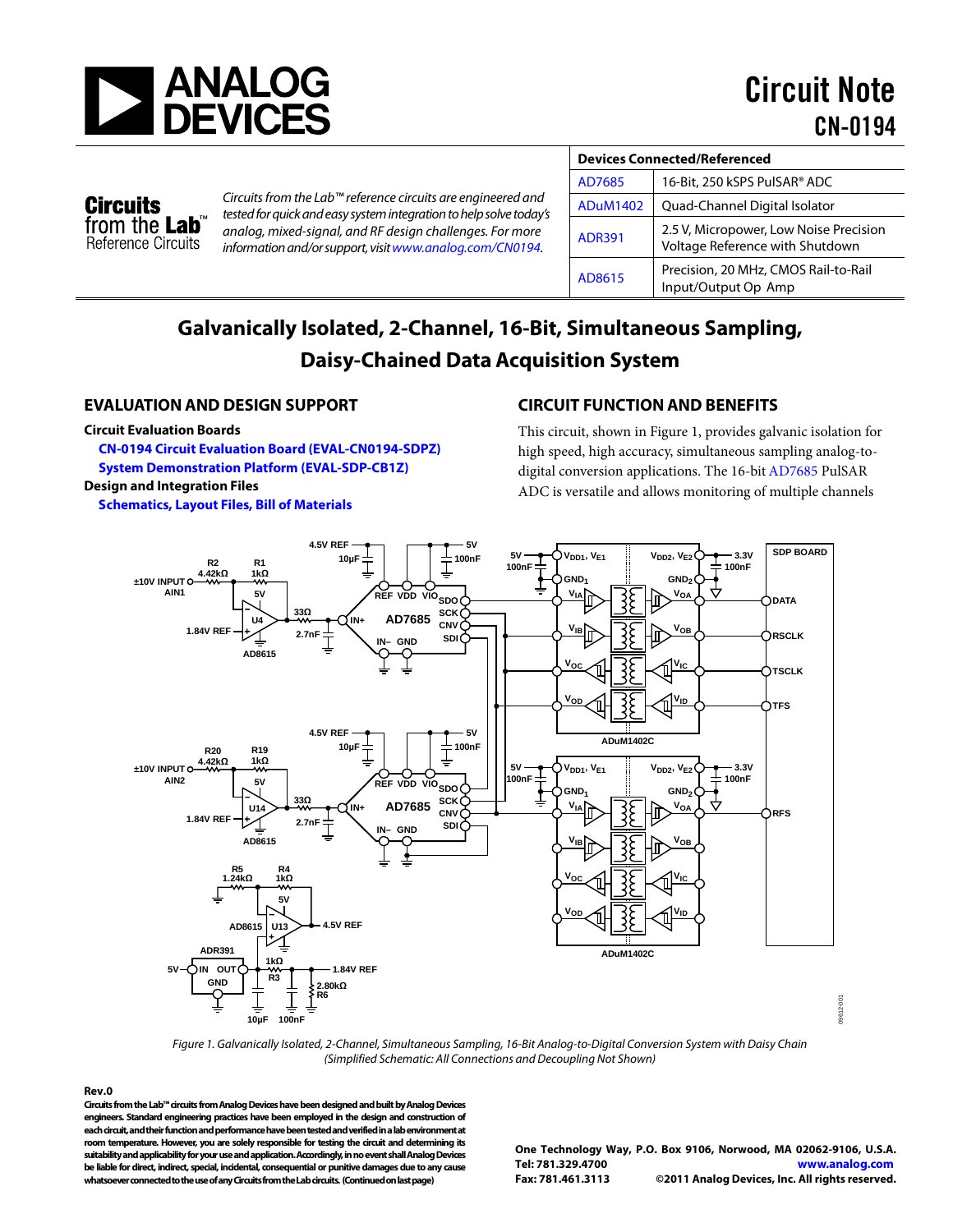

# **Circuits** from the Lab<sup>®</sup> Reference Circuits

*Circuits from the Lab™ reference circuits are engineered and tested for quick and easy system integration to help solve today's analog, mixed-signal, and RF design challenges. For more information and/or support, visi[twww.analog.com/CN0194.](http://www.analog.com/CN0194)*

| <b>Devices Connected/Referenced</b> |                                                                           |
|-------------------------------------|---------------------------------------------------------------------------|
| AD7685                              | 16-Bit, 250 kSPS PulSAR® ADC                                              |
| <b>ADuM1402</b>                     | Quad-Channel Digital Isolator                                             |
| <b>ADR391</b>                       | 2.5 V, Micropower, Low Noise Precision<br>Voltage Reference with Shutdown |
| AD8615                              | Precision, 20 MHz, CMOS Rail-to-Rail<br>Input/Output Op Amp               |

# **Galvanically Isolated, 2-Channel, 16-Bit, Simultaneous Sampling, Daisy-Chained Data Acquisition System**

# **EVALUATION AND DESIGN SUPPORT**

#### **Circuit Evaluation Boards**

**[CN-0194 Circuit Evaluation Board \(EVAL-CN0194-SDPZ\)](http://www.analog.com/EVAL-CN0194-SDPZ)  System Demonstration [Platform \(EVAL-SDP-CB1Z\)](http://www.analog.com/EVAL-SDP-CB1Z) Design and Integration Files** 

**[Schematics, Layout Files, Bill of Materials](http://www.analog.com/CN0194-DesignSupport)**

# **CIRCUIT FUNCTION AND BENEFITS**

This circuit, shown in Figure 1, provides galvanic isolation for high speed, high accuracy, simultaneous sampling analog-todigital conversion applications. The 16-bi[t AD7685](http://www.analog.com/AD7685) PulSAR ADC is versatile and allows monitoring of multiple channels



*Figure 1. Galvanically Isolated, 2-Channel, Simultaneous Sampling, 16-Bit Analog-to-Digital Conversion System with Daisy Chain (Simplified Schematic: All Connections and Decoupling Not Shown)* 

**Rev.0**

**Circuits from the Lab™ circuits from Analog Devices have been designed and built by Analog Devices engineers. Standard engineering practices have been employed in the design and construction of each circuit, and their function and performance have been tested and verified in a lab environment at room temperature. However, you are solely responsible for testing the circuit and determining its suitability and applicability for your use and application. Accordingly, in no event shall Analog Devices be liable for direct, indirect, special, incidental, consequential or punitive damages due to any cause whatsoever connected to the use of any Circuits from the Lab circuits. (Continued on last page)**

**One Technology Way, P.O. Box 9106, Norwood, MA 02062-9106, U.S.A. Tel: 781.329.4700 [www.analog.com](http://www.analog.com/) Fax: 781.461.3113 ©2011 Analog Devices, Inc. All rights reserved.**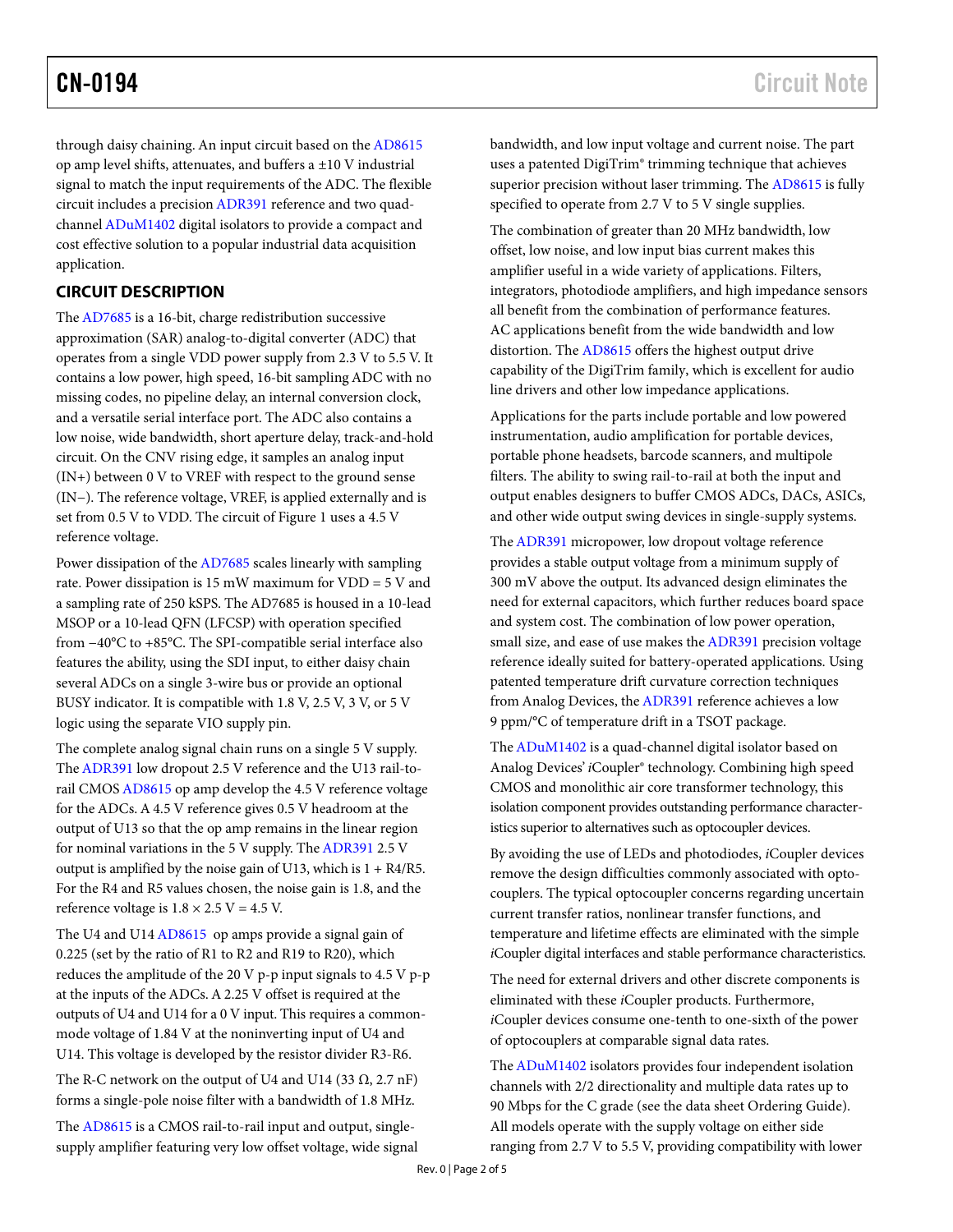through daisy chaining. An input circuit based on th[e AD8615](http://www.analog.com/AD8615) op amp level shifts, attenuates, and buffers a  $\pm 10$  V industrial signal to match the input requirements of the ADC. The flexible circuit includes a precisio[n ADR391](http://www.analog.com/ADR391) reference and two quadchanne[l ADuM1402](http://www.analog.com/ADUM1402) digital isolators to provide a compact and cost effective solution to a popular industrial data acquisition application.

# **CIRCUIT DESCRIPTION**

Th[e AD7685](http://www.analog.com/AD7685) is a 16-bit, charge redistribution successive approximation (SAR) analog-to-digital converter (ADC) that operates from a single VDD power supply from 2.3 V to 5.5 V. It contains a low power, high speed, 16-bit sampling ADC with no missing codes, no pipeline delay, an internal conversion clock, and a versatile serial interface port. The ADC also contains a low noise, wide bandwidth, short aperture delay, track-and-hold circuit. On the CNV rising edge, it samples an analog input (IN+) between 0 V to VREF with respect to the ground sense (IN−). The reference voltage, VREF, is applied externally and is set from 0.5 V to VDD. The circuit of Figure 1 uses a 4.5 V reference voltage.

Power dissipation of th[e AD7685](http://www.analog.com/AD7685) scales linearly with sampling rate. Power dissipation is 15 mW maximum for VDD = 5 V and a sampling rate of 250 kSPS. The AD7685 is housed in a 10-lead MSOP or a 10-lead QFN (LFCSP) with operation specified from −40°C to +85°C. The SPI-compatible serial interface also features the ability, using the SDI input, to either daisy chain several ADCs on a single 3-wire bus or provide an optional BUSY indicator. It is compatible with 1.8 V, 2.5 V, 3 V, or 5 V logic using the separate VIO supply pin.

The complete analog signal chain runs on a single 5 V supply. Th[e ADR391](http://www.analog.com/ADR391) low dropout 2.5 V reference and the U13 rail-torail CMO[S AD8615](http://www.analog.com/AD8615) op amp develop the 4.5 V reference voltage for the ADCs. A 4.5 V reference gives 0.5 V headroom at the output of U13 so that the op amp remains in the linear region for nominal variations in the 5 V supply. Th[e ADR391](http://www.analog.com/ADR391) 2.5 V output is amplified by the noise gain of U13, which is  $1 + R4/R5$ . For the R4 and R5 values chosen, the noise gain is 1.8, and the reference voltage is  $1.8 \times 2.5$  V = 4.5 V.

The U4 and U1[4 AD8615](http://www.analog.com/AD8615) op amps provide a signal gain of 0.225 (set by the ratio of R1 to R2 and R19 to R20), which reduces the amplitude of the 20 V p-p input signals to 4.5 V p-p at the inputs of the ADCs. A 2.25 V offset is required at the outputs of U4 and U14 for a 0 V input. This requires a commonmode voltage of 1.84 V at the noninverting input of U4 and U14. This voltage is developed by the resistor divider R3-R6.

The R-C network on the output of U4 and U14 (33  $\Omega$ , 2.7 nF) forms a single-pole noise filter with a bandwidth of 1.8 MHz.

The [AD8615](http://www.analog.com/AD8615) is a CMOS rail**-**to-rail input and output, singlesupply amplifier featuring very low offset voltage, wide signal bandwidth, and low input voltage and current noise. The part uses a patented DigiTrim® trimming technique that achieves superior precision without laser trimming. Th[e AD8615](http://www.analog.com/AD8615) is fully specified to operate from 2.7 V to 5 V single supplies.

The combination of greater than 20 MHz bandwidth, low offset, low noise, and low input bias current makes this amplifier useful in a wide variety of applications. Filters, integrators, photodiode amplifiers, and high impedance sensors all benefit from the combination of performance features. AC applications benefit from the wide bandwidth and low distortion. The [AD8615](http://www.analog.com/AD8615) offers the highest output drive capability of the DigiTrim family, which is excellent for audio line drivers and other low impedance applications.

Applications for the parts include portable and low powered instrumentation, audio amplification for portable devices, portable phone headsets, barcode scanners, and multipole filters. The ability to swing rail-to-rail at both the input and output enables designers to buffer CMOS ADCs, DACs, ASICs, and other wide output swing devices in single-supply systems.

Th[e ADR391](http://www.analog.com/ADR391) micropower, low dropout voltage reference provides a stable output voltage from a minimum supply of 300 mV above the output. Its advanced design eliminates the need for external capacitors, which further reduces board space and system cost. The combination of low power operation, small size, and ease of use makes th[e ADR391](http://www.analog.com/ADR391) precision voltage reference ideally suited for battery-operated applications. Using patented temperature drift curvature correction techniques from Analog Devices, th[e ADR391](http://www.analog.com/ADR391) reference achieves a low 9 ppm/°C of temperature drift in a TSOT package.

Th[e ADuM1402](http://www.analog.com/ADUM1402) is a quad-channel digital isolator based on Analog Devices' *i*Coupler® technology. Combining high speed CMOS and monolithic air core transformer technology, this isolation component provides outstanding performance characteristics superior to alternatives such as optocoupler devices.

By avoiding the use of LEDs and photodiodes, *i*Coupler devices remove the design difficulties commonly associated with optocouplers. The typical optocoupler concerns regarding uncertain current transfer ratios, nonlinear transfer functions, and temperature and lifetime effects are eliminated with the simple *i*Coupler digital interfaces and stable performance characteristics.

The need for external drivers and other discrete components is eliminated with these *i*Coupler products. Furthermore, *i*Coupler devices consume one-tenth to one-sixth of the power of optocouplers at comparable signal data rates.

Th[e ADuM1402](http://www.analog.com/ADuM1402) isolators provides four independent isolation channels with 2/2 directionality and multiple data rates up to 90 Mbps for the C grade (see the data sheet Ordering Guide). All models operate with the supply voltage on either side ranging from 2.7 V to 5.5 V, providing compatibility with lower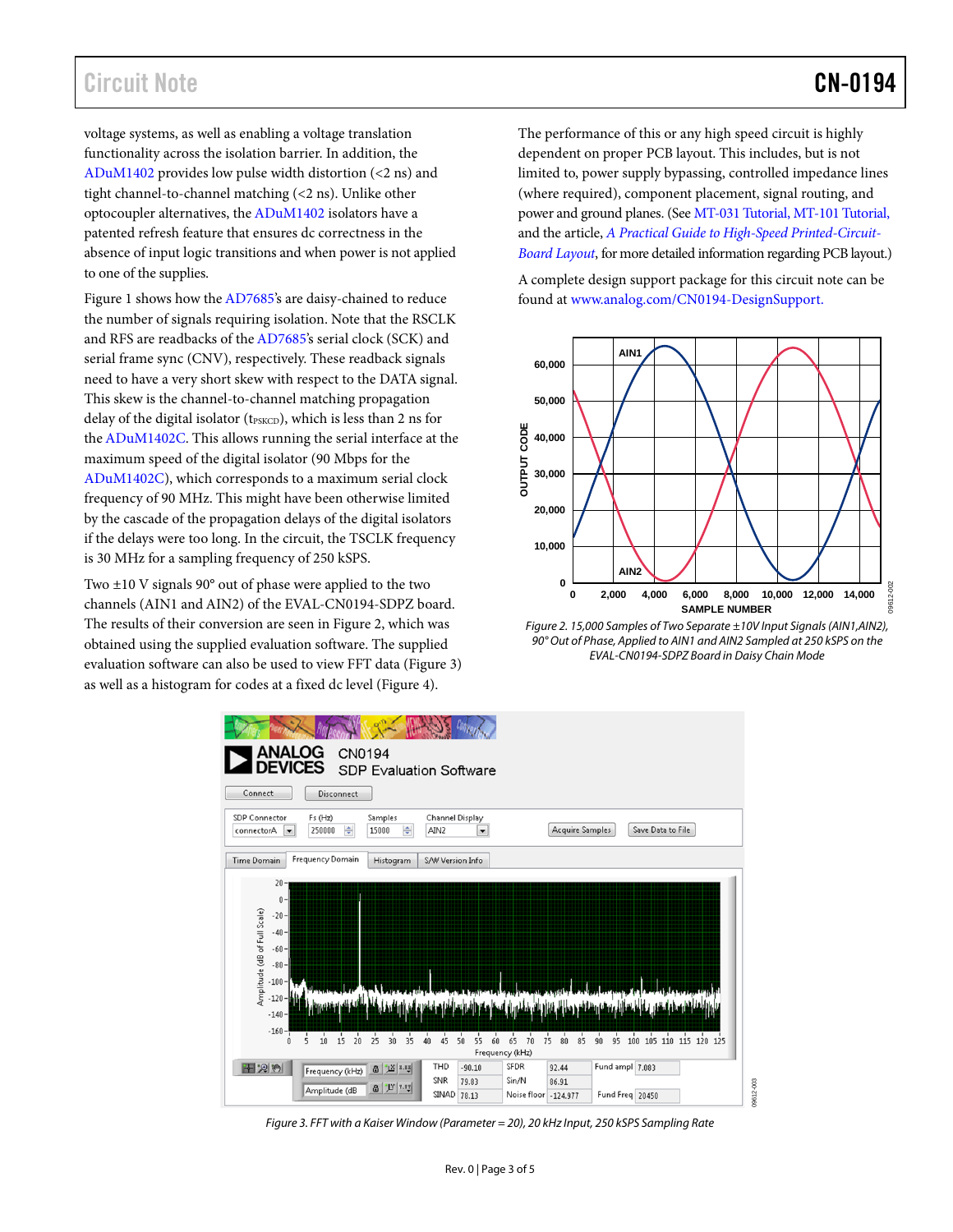voltage systems, as well as enabling a voltage translation functionality across the isolation barrier. In addition, the [ADuM1402](http://www.analog.com/ADuM1402) provides low pulse width distortion (<2 ns) and tight channel-to-channel matching (<2 ns). Unlike other optocoupler alternatives, th[e ADuM1402](http://www.analog.com/ADuM1402) isolators have a patented refresh feature that ensures dc correctness in the absence of input logic transitions and when power is not applied to one of the supplies.

Figure 1 shows how the [AD7685's](http://www.analog.com/AD7685) are daisy-chained to reduce the number of signals requiring isolation. Note that the RSCLK and RFS are readbacks of th[e AD7685's](http://www.analog.com/AD7685) serial clock (SCK) and serial frame sync (CNV), respectively. These readback signals need to have a very short skew with respect to the DATA signal. This skew is the channel-to-channel matching propagation delay of the digital isolator (tPSKCD), which is less than 2 ns for th[e ADuM1402C.](http://www.analog.com/ADuM1402C) This allows running the serial interface at the maximum speed of the digital isolator (90 Mbps for the [ADuM1402C\)](http://www.analog.com/ADuM1402C), which corresponds to a maximum serial clock frequency of 90 MHz. This might have been otherwise limited by the cascade of the propagation delays of the digital isolators if the delays were too long. In the circuit, the TSCLK frequency is 30 MHz for a sampling frequency of 250 kSPS.

Two ±10 V signals 90° out of phase were applied to the two channels (AIN1 and AIN2) of the EVAL-CN0194-SDPZ board. The results of their conversion are seen in Figure 2, which was obtained using the supplied evaluation software. The supplied evaluation software can also be used to view FFT data (Figure 3) as well as a histogram for codes at a fixed dc level (Figure 4).

The performance of this or any high speed circuit is highly dependent on proper PCB layout. This includes, but is not limited to, power supply bypassing, controlled impedance lines (where required), component placement, signal routing, and power and ground planes. (See [MT-031 Tutorial,](http://www.analog.com/MT-031) [MT-101 Tutorial,](http://www.analog.com/MT-101) and the article, *[A Practical Guide to High-Speed Printed-Circuit-](http://www.analog.com/pcb_layout)[Board Layout](http://www.analog.com/pcb_layout)*, for more detailed information regarding PCB layout.)

A complete design support package for this circuit note can be found at [www.analog.com/CN0194-DesignSupport.](http://www.analog.com/CN0194-DesignSupport)



*Figure 2. 15,000 Samples of Two Separate ±10V Input Signals (AIN1,AIN2), 90° Out of Phase, Applied to AIN1 and AIN2 Sampled at 250 kSPS on the EVAL-CN0194-SDPZ Board in Daisy Chain Mode* 



*Figure 3. FFT with a Kaiser Window (Parameter = 20), 20 kHz Input, 250 kSPS Sampling Rate*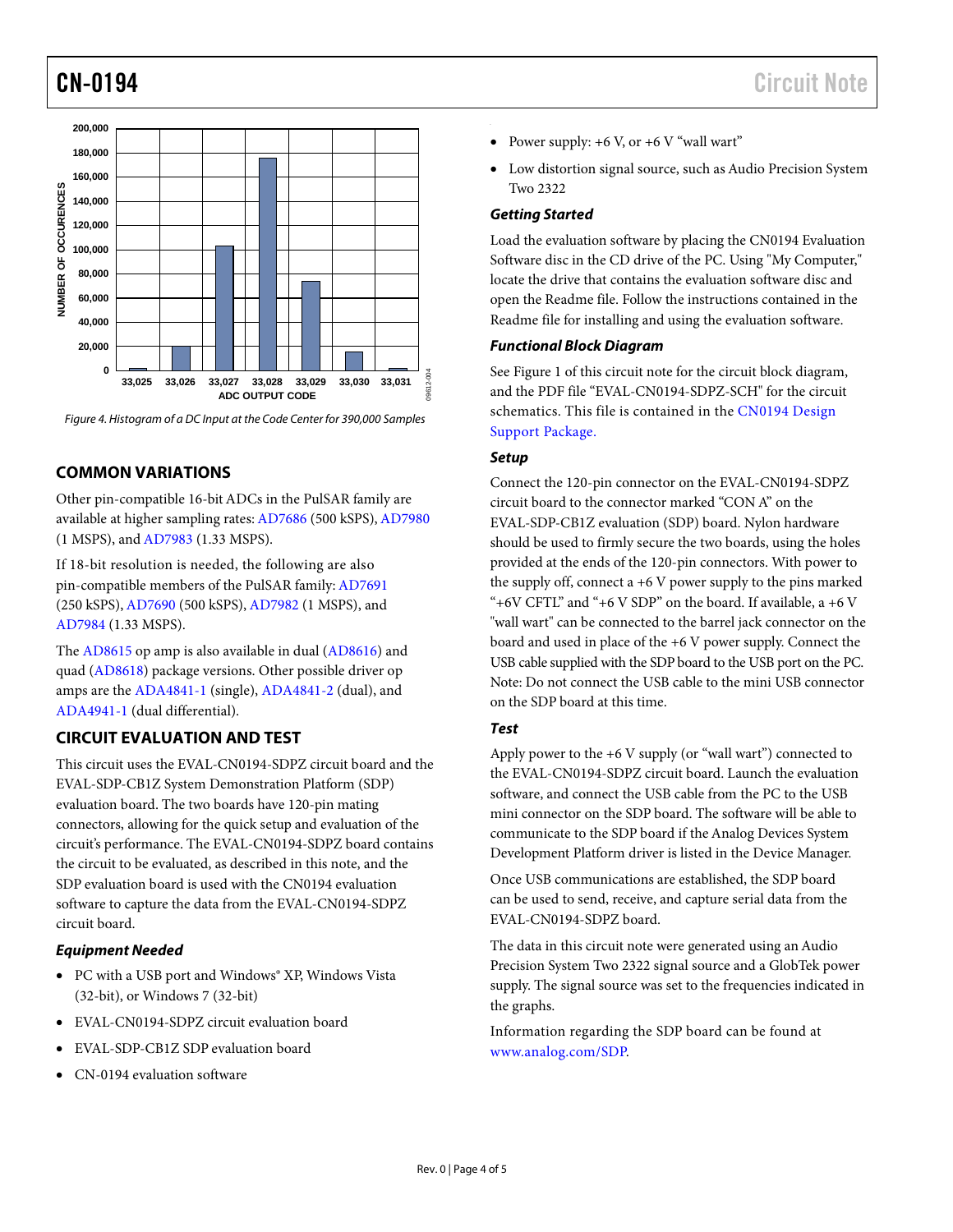

*Figure 4. Histogram of a DC Input at the Code Center for 390,000 Samples*

# **COMMON VARIATIONS**

Other pin-compatible 16-bit ADCs in the PulSAR family are available at higher sampling rates[: AD7686](http://www.analog.com/AD7686) (500 kSPS)[, AD7980](http://www.analog.com/AD7980) (1 MSPS), an[d AD7983](http://www.analog.com/AD7983) (1.33 MSPS).

If 18-bit resolution is needed, the following are also pin-compatible members of the PulSAR family[: AD7691](http://www.analog.com/AD7691) (250 kSPS)[, AD7690](http://www.analog.com/AD7690) (500 kSPS)[, AD7982](http://www.analog.com/AD7982) (1 MSPS), and [AD7984](http://www.analog.com/AD7984) (1.33 MSPS).

The [AD8615](http://www.analog.com/AD8615) op amp is also available in dual [\(AD8616\)](http://www.analog.com/AD8616) and quad [\(AD8618\)](http://www.analog.com/AD8618) package versions. Other possible driver op amps are th[e ADA4841-1](http://www.analog.com/ADA4841-1) (single), [ADA4841-2](http://www.analog.com/ADA4841-2) (dual), and [ADA4941-1](http://www.analog.com/ADA4941-1) (dual differential).

# **CIRCUIT EVALUATION AND TEST**

This circuit uses the EVAL-CN0194-SDPZ circuit board and the EVAL-SDP-CB1Z System Demonstration Platform (SDP) evaluation board. The two boards have 120-pin mating connectors, allowing for the quick setup and evaluation of the circuit's performance. The EVAL-CN0194-SDPZ board contains the circuit to be evaluated, as described in this note, and the SDP evaluation board is used with the CN0194 evaluation software to capture the data from the EVAL-CN0194-SDPZ circuit board.

#### *Equipment Needed*

- PC with a USB port and Windows® XP, Windows Vista (32-bit), or Windows 7 (32-bit)
- EVAL-CN0194-SDPZ circuit evaluation board
- EVAL-SDP-CB1Z SDP evaluation board
- CN-0194 evaluation software
- Power supply:  $+6$  V, or  $+6$  V "wall wart"
- Low distortion signal source, such as Audio Precision System Two 2322

## *Getting Started*

Load the evaluation software by placing the CN0194 Evaluation Software disc in the CD drive of the PC. Using "My Computer," locate the drive that contains the evaluation software disc and open the Readme file. Follow the instructions contained in the Readme file for installing and using the evaluation software.

### *Functional Block Diagram*

See Figure 1 of this circuit note for the circuit block diagram, and the PDF file "EVAL-CN0194-SDPZ-SCH" for the circuit schematics. This file is contained in the [CN0194 Design](http://www.analog.com/CN0194-DesignSupport)  [Support Package.](http://www.analog.com/CN0194-DesignSupport)

### *Setup*

Connect the 120-pin connector on the EVAL-CN0194-SDPZ circuit board to the connector marked "CON A" on the EVAL-SDP-CB1Z evaluation (SDP) board. Nylon hardware should be used to firmly secure the two boards, using the holes provided at the ends of the 120-pin connectors. With power to the supply off, connect  $a +6$  V power supply to the pins marked "+6V CFTL" and "+6 V SDP" on the board. If available,  $a +6$  V "wall wart" can be connected to the barrel jack connector on the board and used in place of the +6 V power supply. Connect the USB cable supplied with the SDP board to the USB port on the PC. Note: Do not connect the USB cable to the mini USB connector on the SDP board at this time.

# *Test*

Apply power to the +6 V supply (or "wall wart") connected to the EVAL-CN0194-SDPZ circuit board. Launch the evaluation software, and connect the USB cable from the PC to the USB mini connector on the SDP board. The software will be able to communicate to the SDP board if the Analog Devices System Development Platform driver is listed in the Device Manager.

Once USB communications are established, the SDP board can be used to send, receive, and capture serial data from the EVAL-CN0194-SDPZ board.

The data in this circuit note were generated using an Audio Precision System Two 2322 signal source and a GlobTek power supply. The signal source was set to the frequencies indicated in the graphs.

Information regarding the SDP board can be found at [www.analog.com/SDP.](http://www.analog.com/SDP)